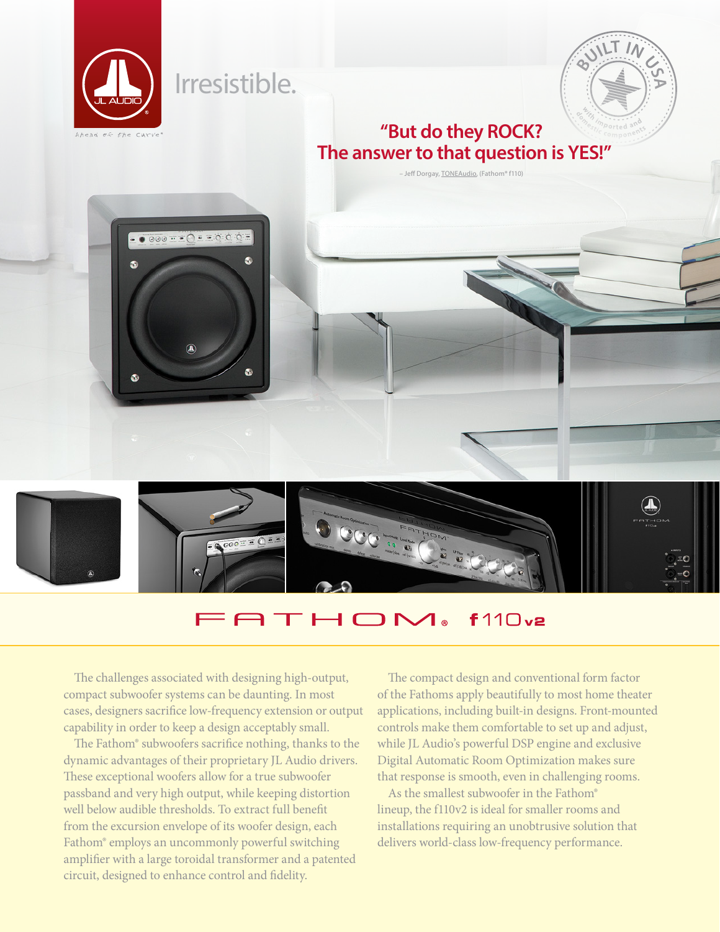

## **ATHOM**  $f110v2$

The challenges associated with designing high-output, compact subwoofer systems can be daunting. In most cases, designers sacrifice low-frequency extension or output capability in order to keep a design acceptably small.

The Fathom® subwoofers sacrifice nothing, thanks to the dynamic advantages of their proprietary JL Audio drivers. These exceptional woofers allow for a true subwoofer passband and very high output, while keeping distortion well below audible thresholds. To extract full benefit from the excursion envelope of its woofer design, each Fathom® employs an uncommonly powerful switching amplifier with a large toroidal transformer and a patented circuit, designed to enhance control and fidelity.

The compact design and conventional form factor of the Fathoms apply beautifully to most home theater applications, including built-in designs. Front-mounted controls make them comfortable to set up and adjust, while JL Audio's powerful DSP engine and exclusive Digital Automatic Room Optimization makes sure that response is smooth, even in challenging rooms.

As the smallest subwoofer in the Fathom® lineup, the f110v2 is ideal for smaller rooms and installations requiring an unobtrusive solution that delivers world-class low-frequency performance.